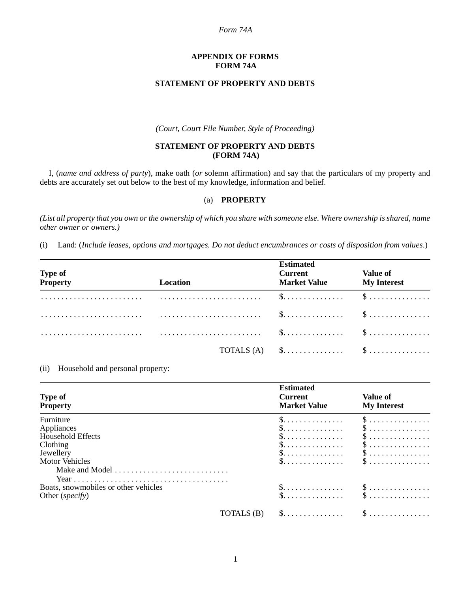#### *Form 74A*

#### **APPENDIX OF FORMS FORM 74A**

# **STATEMENT OF PROPERTY AND DEBTS**

*(Court, Court File Number, Style of Proceeding)*

## **STATEMENT OF PROPERTY AND DEBTS (FORM 74A)**

I, (*name and address of party*), make oath (*or* solemn affirmation) and say that the particulars of my property and debts are accurately set out below to the best of my knowledge, information and belief.

# (a) **PROPERTY**

*(List all property that you own or the ownership of which you share with someone else. Where ownership is shared, name other owner or owners.)*

(i) Land: (*Include leases, options and mortgages. Do not deduct encumbrances or costs of disposition from values*.)

| Type of<br>Property | Location | <b>Estimated</b><br><b>Current</b><br><b>Market Value</b>                              | <b>Value of</b><br><b>My Interest</b> |
|---------------------|----------|----------------------------------------------------------------------------------------|---------------------------------------|
|                     |          |                                                                                        |                                       |
|                     |          |                                                                                        |                                       |
|                     |          |                                                                                        |                                       |
|                     |          | TOTALS (A) $\$\dots \dots \dots \dots \dots \dots \dots \dots \dots \dots \dots \dots$ |                                       |

(ii) Household and personal property:

| <b>Type of</b><br><b>Property</b>      | <b>Estimated</b><br><b>Current</b><br><b>Market Value</b>                            | Value of<br><b>My Interest</b>                                                                                             |
|----------------------------------------|--------------------------------------------------------------------------------------|----------------------------------------------------------------------------------------------------------------------------|
| Furniture                              | 5.                                                                                   | $\$\ldots\ldots\ldots\ldots\ldots$                                                                                         |
| Appliances<br><b>Household Effects</b> | $\S.$                                                                                | $\$\ldots\ldots\ldots\ldots\ldots$                                                                                         |
| Clothing                               | 5.                                                                                   | $\$\ldots\ldots\ldots\ldots\ldots$                                                                                         |
| Jewellery                              | \$.                                                                                  | $\$\ldots\ldots\ldots\ldots\ldots$                                                                                         |
| <b>Motor Vehicles</b>                  | $\S. \ldots \ldots \ldots \ldots \ldots$<br>$\S. \ldots \ldots \ldots \ldots \ldots$ | $\$\ldots\ldots\ldots\ldots\ldots$<br>$\$\ldots\ldots\ldots\ldots\ldots$                                                   |
| Make and Model                         |                                                                                      |                                                                                                                            |
| Boats, snowmobiles or other vehicles   |                                                                                      |                                                                                                                            |
| Other ( <i>specify</i> )               |                                                                                      | $\begin{matrix} \text{\$}\dots\dots\dots\dots\dots\end{matrix}$ $\begin{matrix} \text{\$}\dots\dots\dots\dots\end{matrix}$ |
| TOTALS (B)                             | $\S.$                                                                                | $\$\ldots\ldots\ldots\ldots\ldots$                                                                                         |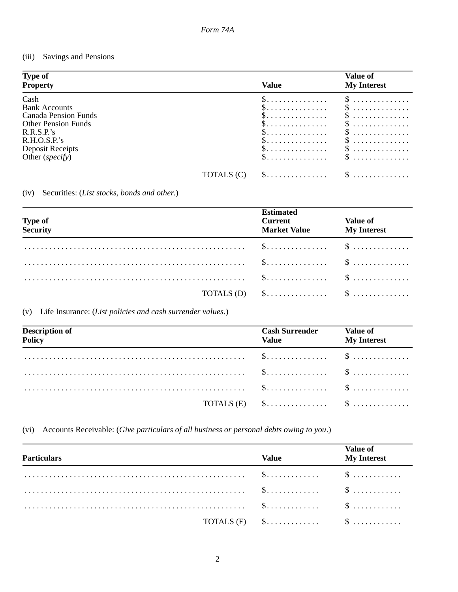#### Savings and Pensions  $(iii)$

| <b>Type of</b><br><b>Property</b>                                                                                                                                |            | Value                                                  | <b>Value of</b><br><b>My Interest</b>                                 |
|------------------------------------------------------------------------------------------------------------------------------------------------------------------|------------|--------------------------------------------------------|-----------------------------------------------------------------------|
| Cash<br><b>Bank Accounts</b><br>Canada Pension Funds<br><b>Other Pension Funds</b><br>R.R.S.P.'s<br>R.H.O.S.P.'s<br>Deposit Receipts<br>Other ( <i>specify</i> ) |            | 5.<br>3.<br>5.<br>5.<br>3.<br>3.<br>$\mathbb{S}$<br>5. | \$<br>$\delta$<br>3<br>$S$<br>$S$<br>$\mathcal{S}$<br>$S$<br>$\delta$ |
|                                                                                                                                                                  | TOTALS (C) | \$.                                                    | 5.                                                                    |

# (iv) Securities: (List stocks, bonds and other.)

| Type of<br>Security                                                                                                           | <b>Estimated</b><br><b>Current</b><br><b>Market Value</b> | <b>Value of</b><br><b>My Interest</b> |
|-------------------------------------------------------------------------------------------------------------------------------|-----------------------------------------------------------|---------------------------------------|
|                                                                                                                               |                                                           |                                       |
| $\ldots \ldots \ldots \ldots \ldots \ldots \ldots \ldots \ldots \ldots \ldots \ldots \ldots \qquad \text{\$ \qquad \text{\$}$ |                                                           |                                       |
|                                                                                                                               |                                                           |                                       |
|                                                                                                                               |                                                           |                                       |

# (v) Life Insurance: (List policies and cash surrender values.)

| <b>Description of</b><br>Policy | <b>Cash Surrender</b> Value of<br><b>Value Exercise Service Service Service Service</b> | <b>My Interest</b> |
|---------------------------------|-----------------------------------------------------------------------------------------|--------------------|
|                                 |                                                                                         |                    |
|                                 |                                                                                         |                    |
|                                 |                                                                                         |                    |
|                                 | TOTALS $(E)$ \$ \$                                                                      |                    |

# (vi) Accounts Receivable: (Give particulars of all business or personal debts owing to you.)

| <b>Particulars</b> | Value                                                                                        | <b>Value of</b><br><b>My Interest</b> |
|--------------------|----------------------------------------------------------------------------------------------|---------------------------------------|
|                    |                                                                                              |                                       |
|                    |                                                                                              |                                       |
|                    |                                                                                              |                                       |
|                    | TOTALS $(F)$ $\qquad \dots \dots \dots \dots \qquad \qquad$ $\qquad \dots \dots \dots \dots$ |                                       |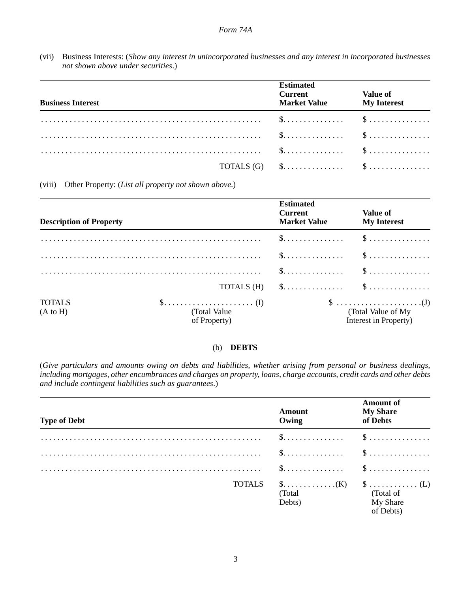(vii) Business Interests: (*Show any interest in unincorporated businesses and any interest in incorporated businesses not shown above under securities*.)

| <b>Business Interest</b> | <b>Estimated</b><br>Current Value of<br><b>Market Value</b> | <b>My Interest</b> |
|--------------------------|-------------------------------------------------------------|--------------------|
|                          |                                                             |                    |
|                          |                                                             |                    |
|                          |                                                             |                    |
|                          | TOTALS $(G)$ \$ \$                                          |                    |

(viii) Other Property: (*List all property not shown above*.)

| <b>Description of Property</b>       |                               | <b>Estimated</b><br><b>Current</b><br><b>Market Value</b>           | <b>Value of</b><br><b>My Interest</b>                                                                      |
|--------------------------------------|-------------------------------|---------------------------------------------------------------------|------------------------------------------------------------------------------------------------------------|
|                                      |                               | $\$\ldots\ldots\ldots\ldots\qquad \$\ldots\ldots\ldots\ldots\ldots$ |                                                                                                            |
|                                      |                               |                                                                     | $\$\ldots\ldots\ldots\ldots\qquad \S\ldots\ldots\ldots\ldots\ldots$                                        |
|                                      |                               |                                                                     |                                                                                                            |
|                                      |                               | TOTALS $(H)$ \$ \$                                                  |                                                                                                            |
| <b>TOTALS</b><br>$(A \text{ to } H)$ | (Total Value)<br>of Property) |                                                                     | $\$\ldots\ldots\ldots\ldots\ldots\ldots\ldots\ldots\ldots$<br>(Total Value of My)<br>Interest in Property) |

## (b) **DEBTS**

(*Give particulars and amounts owing on debts and liabilities, whether arising from personal or business dealings, including mortgages, other encumbrances and charges on property, loans, charge accounts, credit cards and other debts and include contingent liabilities such as guarantees*.)

| <b>Type of Debt</b> | <b>Amount</b><br>Owing                                              | <b>Amount of</b><br><b>My Share</b><br>of Debts |
|---------------------|---------------------------------------------------------------------|-------------------------------------------------|
|                     |                                                                     |                                                 |
|                     | $\$\ldots\ldots\ldots\ldots\qquad \$\ldots\ldots\ldots\ldots\ldots$ |                                                 |
|                     | $\$\ldots\ldots\ldots\ldots\qquad \S\ldots\ldots\ldots\ldots\ldots$ |                                                 |
| <b>TOTALS</b>       | (Total)<br>Debts)                                                   | (Total of<br>My Share<br>of Debts)              |